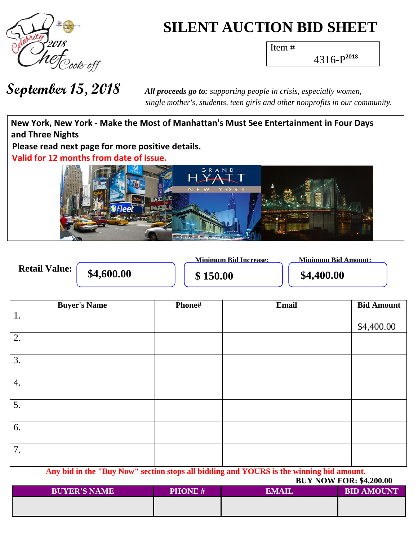

## **SILENT AUCTION BID SHEET**

Item #

4316-P **2018**

 *single mother's, students, teen girls and other nonprofits in our community.*

**Wh a t h New York, New York - Make the Most of Manhattan's Must See Entertainment in Four Days** and Three Nights Please read next page for more positive details. Valid for 12 months from date of issue. N<sub>D</sub>

|                      |            | <b>Minimum Bid Increase:</b> | <b>Minimum Bid Amount:</b> |
|----------------------|------------|------------------------------|----------------------------|
| <b>Retail Value:</b> | \$4,600.00 | \$150.00                     | \$4,400.00                 |

| <b>Buyer's Name</b> | Phone# | Email | <b>Bid Amount</b> |
|---------------------|--------|-------|-------------------|
| 1.                  |        |       |                   |
|                     |        |       | \$4,400.00        |
| 2.                  |        |       |                   |
|                     |        |       |                   |
| 3.                  |        |       |                   |
|                     |        |       |                   |
| 4.                  |        |       |                   |
|                     |        |       |                   |
| 5.                  |        |       |                   |
|                     |        |       |                   |
| 6.                  |        |       |                   |
|                     |        |       |                   |
| 7.                  |        |       |                   |
|                     |        |       |                   |

**Any bid in the "Buy Now" section stops all bidding and YOURS is the winning bid amount.**

|                     |               | <b>BUY NOW FOR: \$4,200.00</b> |                   |  |  |
|---------------------|---------------|--------------------------------|-------------------|--|--|
| <b>BUYER'S NAME</b> | <b>PHONE#</b> | EMAIL                          | <b>BID AMOUNT</b> |  |  |
|                     |               |                                |                   |  |  |
|                     |               |                                |                   |  |  |